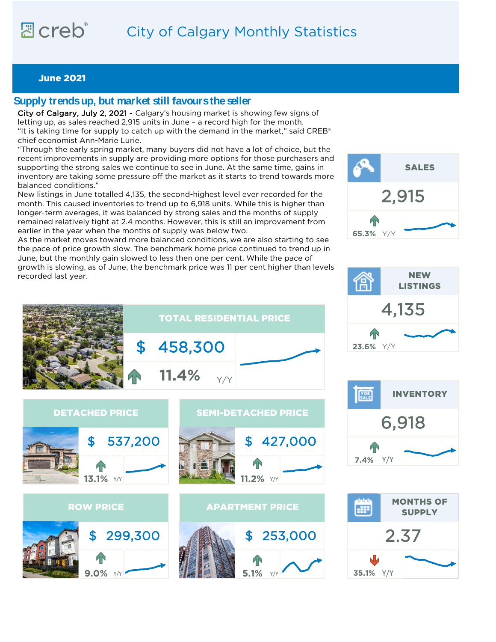# <sub>阳</sub> creb® City of Calgary Monthly Statistics

## June 2021

## **Supply trends up, but market still favours the seller**

City of Calgary, July 2, 2021 - Calgary's housing market is showing few signs of letting up, as sales reached 2,915 units in June – a record high for the month. "It is taking time for supply to catch up with the demand in the market," said CREB<sup>®</sup> chief economist Ann-Marie Lurie.

"Through the early spring market, many buyers did not have a lot of choice, but the recent improvements in supply are providing more options for those purchasers and supporting the strong sales we continue to see in June. At the same time, gains in inventory are taking some pressure off the market as it starts to trend towards more balanced conditions."

New listings in June totalled 4,135, the second-highest level ever recorded for the month. This caused inventories to trend up to 6,918 units. While this is higher than longer-term averages, it was balanced by strong sales and the months of supply remained relatively tight at 2.4 months. However, this is still an improvement from earlier in the year when the months of supply was below two.

As the market moves toward more balanced conditions, we are also starting to see the pace of price growth slow. The benchmark home price continued to trend up in June, but the monthly gain slowed to less then one per cent. While the pace of growth is slowing, as of June, the benchmark price was 11 per cent higher than levels recorded last year.









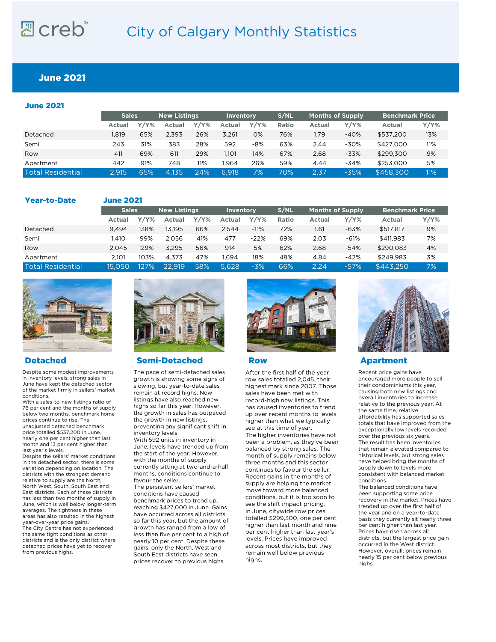# <sub>리</sub> creb® City of Calgary Monthly Statistics

## June 2021

| <b>June 2021</b>         |              |         |                     |         |                  |         |       |                         |         |                        |         |
|--------------------------|--------------|---------|---------------------|---------|------------------|---------|-------|-------------------------|---------|------------------------|---------|
|                          | <b>Sales</b> |         | <b>New Listings</b> |         | <b>Inventory</b> |         | S/NL  | <b>Months of Supply</b> |         | <b>Benchmark Price</b> |         |
|                          | Actual       | $Y/Y\%$ | Actual              | $Y/Y\%$ | Actual           | $Y/Y\%$ | Ratio | <b>Actual</b>           | $Y/Y\%$ | Actual                 | $Y/Y\%$ |
| Detached                 | 1.819        | 65%     | 2.393               | 26%     | 3.261            | 0%      | 76%   | 1.79                    | $-40%$  | \$537.200              | 13%     |
| Semi                     | 243          | 31%     | 383                 | 28%     | 592              | $-8%$   | 63%   | 2.44                    | $-30%$  | \$427,000              | 11%     |
| Row                      | 411          | 69%     | 611                 | 29%     | 1,101            | 14%     | 67%   | 2.68                    | $-33%$  | \$299.300              | 9%      |
| Apartment                | 442          | 91%     | 748                 | 11%     | 1.964            | 26%     | 59%   | 4.44                    | $-34%$  | \$253,000              | 5%      |
| <b>Total Residential</b> | 2.915        | 65%     | 4.135               | 24%     | 6.918            | 7%      | 70%   | 2.37                    | $-35%$  | \$458,300              | 11%     |

### Year-to-Date

June 2021

|                   | <b>Sales</b> |      | <b>New Listings</b> |         | <b>Inventory</b> |         | S/NL  | <b>Months of Supply</b> |         | Benchmark Price |         |
|-------------------|--------------|------|---------------------|---------|------------------|---------|-------|-------------------------|---------|-----------------|---------|
|                   | Actual       | Y/Y% | Actual              | $Y/Y\%$ | Actual           | $Y/Y\%$ | Ratio | Actual                  | $Y/Y\%$ | Actual          | $Y/Y\%$ |
| Detached          | 9.494        | 138% | 13.195              | 66%     | 2.544            | $-11%$  | 72%   | 1.61                    | $-63%$  | \$517.817       | 9%      |
| Semi              | l.410        | 99%  | 2.056               | 41%     | 477              | $-22%$  | 69%   | 2.03                    | $-61%$  | \$411.983       | 7%      |
| Row               | 2.045        | 129% | 3.295               | 56%     | 914              | 5%      | 62%   | 2.68                    | $-54%$  | \$290.083       | 4%      |
| Apartment         | 2.101        | 103% | 4.373               | 47%     | 1.694            | 18%     | 48%   | 4.84                    | $-42%$  | \$249.983       | 3%      |
| Total Residential | 15.050       | 127% | 22.919              | 58%     | 5.628            | $-3%$   | 66%   | 2.24                    | $-57%$  | \$443.250       | 7%      |



Despite some modest improvements in inventory levels, strong sales in June have kept the detached sector of the market firmly in sellers' market conditions.

With a sales-to-new-listings ratio of 76 per cent and the months of supply below two months, benchmark home prices continue to rise. The unadjusted detached benchmark

price totalled \$537,200 in June, nearly one per cent higher than last month and 13 per cent higher than last year's levels.

Despite the sellers' market conditions in the detached sector, there is some variation depending on location. The districts with the strongest demand relative to supply are the North, North West, South, South East and East districts. Each of these districts has less than two months of supply in June, which is well below longer-term averages. The tightness in these areas has also resulted in the highest year-over-year price gains. The City Centre has not experienced the same tight conditions as other districts and is the only district where detached prices have yet to recover from previous highs.



Detached Semi-Detached Row Apartment

The pace of semi-detached sales growth is showing some signs of slowing, but year-to-date sales remain at record highs. New listings have also reached new highs so far this year. However, the growth in sales has outpaced the growth in new listings, preventing any significant shift in inventory levels.

With 592 units in inventory in June, levels have trended up from the start of the year. However, with the months of supply currently sitting at two-and-a-half months, conditions continue to favour the seller.

The persistent sellers' market conditions have caused benchmark prices to trend up, reaching \$427,000 in June. Gains have occurred across all districts so far this year, but the amount of growth has ranged from a low of less than five per cent to a high of nearly 10 per cent. Despite these gains, only the North, West and South East districts have seen prices recover to previous highs



After the first half of the year, row sales totalled 2,045, their highest mark since 2007. Those sales have been met with record-high new listings. This has caused inventories to trend up over recent months to levels higher than what we typically see at this time of year. The higher inventories have not been a problem, as they've been balanced by strong sales. The month of supply remains below three months and this sector continues to favour the seller. Recent gains in the months of supply are helping the market move toward more balanced conditions, but it is too soon to see the shift impact pricing. In June, citywide row prices totalled \$299,300, one per cent higher than last month and nine per cent higher than last year's levels. Prices have improved across most districts, but they remain well below previous highs.



Recent price gains have encouraged more people to sell their condominiums this year, causing both new listings and overall inventories to increase relative to the previous year. At the same time, relative affordability has supported sales totals that have improved from the exceptionally low levels recorded over the previous six years. The result has been inventories that remain elevated compared to historical levels, but strong sales have helped bring the months of supply down to levels more consistent with balanced market conditions.

The balanced conditions have been supporting some price recovery in the market. Prices have trended up over the first half of the year and on a year-to-date basis they currently sit nearly three per cent higher than last year. Prices have risen across all districts, but the largest price gain occurred in the West district. However, overall, prices remain nearly 15 per cent below previous highs.